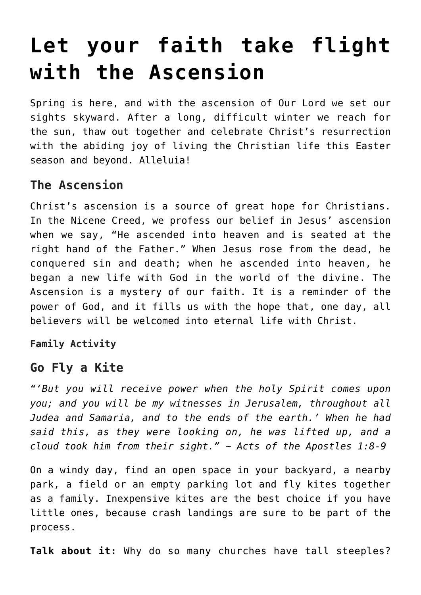# **[Let your faith take flight](https://teachingcatholickids.com/let-your-faith-take-flight/) [with the Ascension](https://teachingcatholickids.com/let-your-faith-take-flight/)**

Spring is here, and with the ascension of Our Lord we set our sights skyward. After a long, difficult winter we reach for the sun, thaw out together and celebrate Christ's resurrection with the abiding joy of living the Christian life this Easter season and beyond. Alleluia!

## **The Ascension**

Christ's ascension is a source of great hope for Christians. In the Nicene Creed, we profess our belief in Jesus' ascension when we say, "He ascended into heaven and is seated at the right hand of the Father." When Jesus rose from the dead, he conquered sin and death; when he ascended into heaven, he began a new life with God in the world of the divine. The Ascension is a mystery of our faith. It is a reminder of the power of God, and it fills us with the hope that, one day, all believers will be welcomed into eternal life with Christ.

**Family Activity**

#### **Go Fly a Kite**

*"'But you will receive power when the holy Spirit comes upon you; and you will be my witnesses in Jerusalem, throughout all Judea and Samaria, and to the ends of the earth.' When he had said this, as they were looking on, he was lifted up, and a cloud took him from their sight." ~ Acts of the Apostles 1:8-9*

On a windy day, find an open space in your backyard, a nearby park, a field or an empty parking lot and fly kites together as a family. Inexpensive kites are the best choice if you have little ones, because crash landings are sure to be part of the process.

**Talk about it:** Why do so many churches have tall steeples?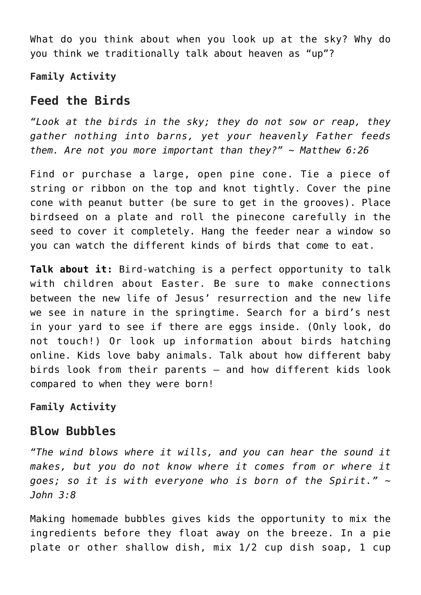What do you think about when you look up at the sky? Why do you think we traditionally talk about heaven as "up"?

**Family Activity**

## **Feed the Birds**

*"Look at the birds in the sky; they do not sow or reap, they gather nothing into barns, yet your heavenly Father feeds them. Are not you more important than they?" ~ Matthew 6:26*

Find or purchase a large, open pine cone. Tie a piece of string or ribbon on the top and knot tightly. Cover the pine cone with peanut butter (be sure to get in the grooves). Place birdseed on a plate and roll the pinecone carefully in the seed to cover it completely. Hang the feeder near a window so you can watch the different kinds of birds that come to eat.

**Talk about it:** Bird-watching is a perfect opportunity to talk with children about Easter. Be sure to make connections between the new life of Jesus' resurrection and the new life we see in nature in the springtime. Search for a bird's nest in your yard to see if there are eggs inside. (Only look, do not touch!) Or look up information about birds hatching online. Kids love baby animals. Talk about how different baby birds look from their parents — and how different kids look compared to when they were born!

**Family Activity**

### **Blow Bubbles**

*"The wind blows where it wills, and you can hear the sound it makes, but you do not know where it comes from or where it goes; so it is with everyone who is born of the Spirit." ~ John 3:8*

Making homemade bubbles gives kids the opportunity to mix the ingredients before they float away on the breeze. In a pie plate or other shallow dish, mix 1/2 cup dish soap, 1 cup